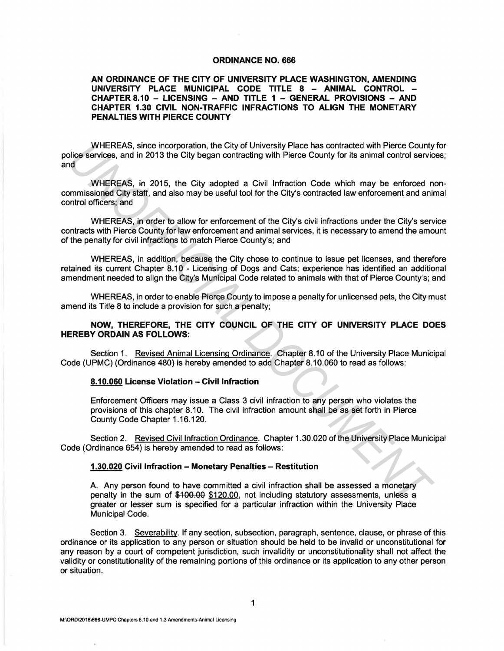#### **ORDINANCE NO. 666**

## **AN ORDINANCE OF THE CITY OF UNIVERSITY PLACE WASHINGTON, AMENDING UNIVERSITY PLACE MUNICIPAL CODE TITLE 8 - ANIMAL CONTROL** - **CHAPTER 8.10 - LICENSING - AND TITLE 1 - GENERAL PROVISIONS - AND CHAPTER 1.30 CIVIL NON-TRAFFIC INFRACTIONS TO ALIGN THE MONETARY PENAL TIES WITH PIERCE COUNTY**

WHEREAS, since incorporation, the City of University Place has contracted with Pierce County for police services, and in 2013 the City began contracting with Pierce County for its animal control services; and WHEREAS, since incorporation, the City of University Place has contracted with Pierce County<br>Since services, and in 2013 the City began contracting with Pierce County for its animal control service<br>distances and in 2013 th

WHEREAS, in 2015, the City adopted a Civil Infraction Code which may be enforced noncommissioned City staff, and also may be useful tool for the City's contracted law enforcement and animal control officers; and

WHEREAS, in order to allow for enforcement of the City's civil infractions under the City's service contracts with Pierce County for law enforcement and animal services, it is necessary to amend the amount of the penalty for civil infractions to match Pierce County's; and

WHEREAS, in addition, because the City chose to continue to issue pet licenses, and therefore retained its current Chapter 8.10 - Licensing of Dogs and Cats; experience has identified an additional amendment needed to align the City's Municipal Code related to animals with that of Pierce County's; and

WHEREAS, in order to enable Pierce County to impose a penalty for unlicensed pets, the City must amend its Title 8 to include a provision for such a penalty;

# **NOW, THEREFORE, THE CITY COUNCIL OF THE CITY OF UNIVERSITY PLACE DOES HEREBY ORDAIN AS FOLLOWS:**

Section 1. Revised Animal Licensing Ordinance. Chapter 8.10 of the University Place Municipal Code (UPMC) (Ordinance 480) is hereby amended to add Chapter 8.10.060 to read as follows:

### **8.10.060 License Violation -Civil Infraction**

Enforcement Officers may issue a Class 3 civil infraction to any person who violates the provisions of this chapter 8.10. The civil infraction amount shall be as set forth in Pierce County Code Chapter 1.16.120.

Section 2. Revised Civil Infraction Ordinance. Chapter 1.30.020 of the University Place Municipal Code (Ordinance 654) is hereby amended to read as follows:

## **1.30.020 Civil Infraction - Monetary Penalties - Restitution**

A. Any person found to have committed a civil infraction shall be assessed a monetary penalty in the sum of \$100.00 \$120.00, not including statutory assessments, unless a greater or lesser sum is specified for a particular infraction within the University Place Municipal Code.

Section 3. Severability. If any section, subsection, paragraph, sentence, clause, or phrase of this ordinance or its application to any person or situation should be held to be invalid or unconstitutional for any reason by a court of competent jurisdiction, such invalidity or unconstitutionality shall not affect the validity or constitutionality of the remaining portions of this ordinance or its application to any other person or situation.